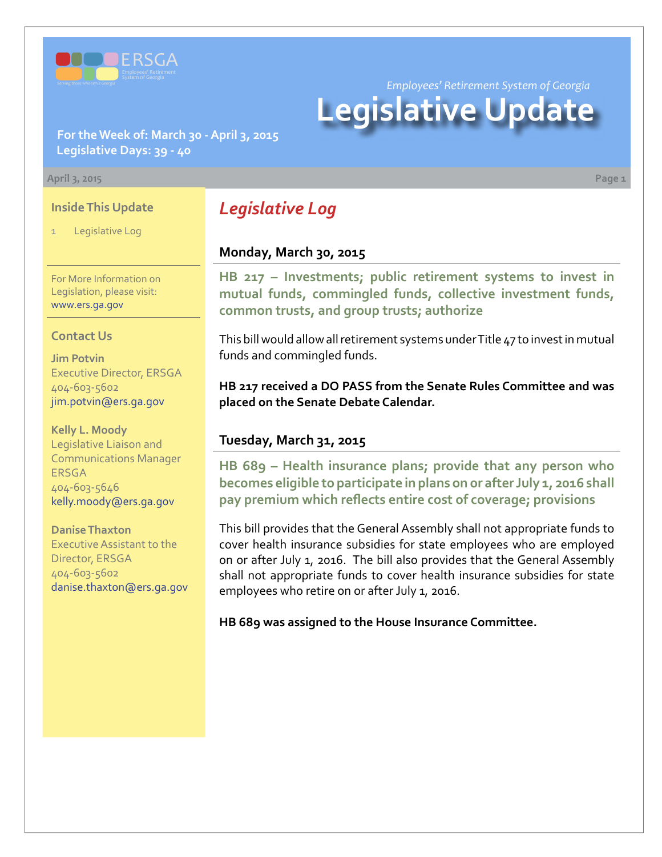

*Employees' Retirement System of Georgia*

# **Legislative Update**

**For the Week of: March 30 - April 3, 2015 Legislative Days: 39 - 40**

#### **April 3, 2015 Page 1**

### **Inside This Update**

Legislative Log

For More Information on Legislation, please visit: [www.ers.ga.gov](http://www.ers.ga.gov/default.aspx)

### **Contact Us**

**Jim Potvin** Executive Director, ERSGA 404-603-5602 jim.potvin@ers.ga.gov

**Kelly L. Moody** Legislative Liaison and Communications Manager ERSGA 404-603-5646 kelly.moody@ers.ga.gov

**Danise Thaxton** Executive Assistant to the Director, ERSGA 404-603-5602 danise.thaxton@ers.ga.gov

# *Legislative Log*

### **Monday, March 30, 2015**

**HB [217 – I](http://www.legis.ga.gov/legislation/en-US/Display/20152016/HB/217)nvestments; public retirement systems to invest in mutual funds, commingled funds, collective investment funds, common trusts, and group trusts; authorize**

This bill would allow all retirement systems under Title 47 to invest in mutual funds and commingled funds.

**HB 217 received a DO PASS from the Senate Rules Committee and was placed on the Senate Debate Calendar.**

### **Tuesday, March 31, 2015**

**HB [689 –](http://www.legis.ga.gov/legislation/en-US/Display/20152016/HB/689) Health insurance plans; provide that any person who becomes eligible to participate in plans on or after July 1, 2016 shall pay premium which reflects entire cost of coverage; provisions**

This bill provides that the General Assembly shall not appropriate funds to cover health insurance subsidies for state employees who are employed on or after July 1, 2016. The bill also provides that the General Assembly shall not appropriate funds to cover health insurance subsidies for state employees who retire on or after July 1, 2016.

**HB 689 was assigned to the House Insurance Committee.**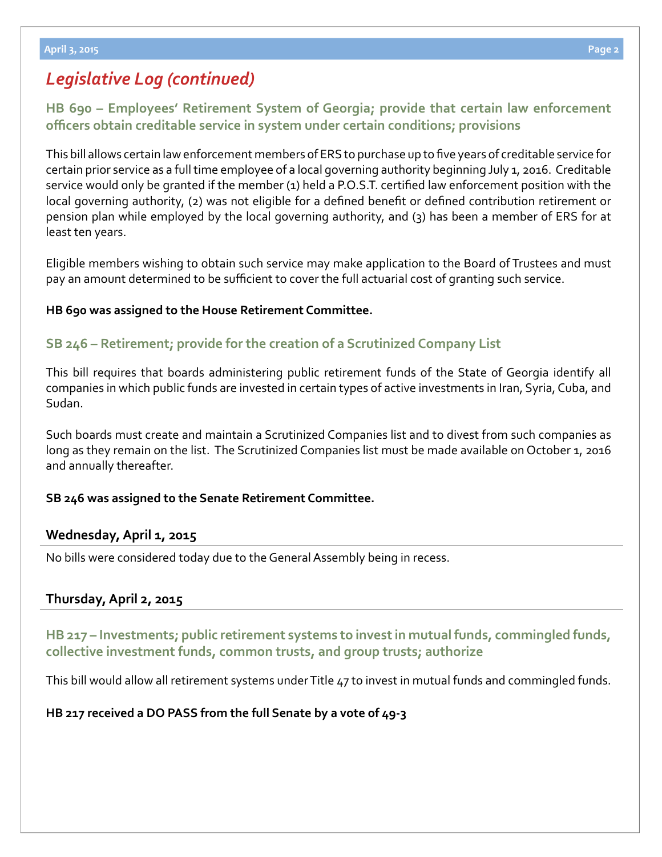### *Legislative Log (continued)*

**HB [690 – E](http://www.legis.ga.gov/legislation/en-US/Display/20152016/HB/690)mployees' Retirement System of Georgia; provide that certain law enforcement officers obtain creditable service in system under certain conditions; provisions**

This bill allows certain law enforcement members of ERS to purchase up to five years of creditable service for certain prior service as a full time employee of a local governing authority beginning July 1, 2016. Creditable service would only be granted if the member (1) held a P.O.S.T. certified law enforcement position with the local governing authority, (2) was not eligible for a defined benefit or defined contribution retirement or pension plan while employed by the local governing authority, and (3) has been a member of ERS for at least ten years.

Eligible members wishing to obtain such service may make application to the Board of Trustees and must pay an amount determined to be sufficient to cover the full actuarial cost of granting such service.

### **HB 690 was assigned to the House Retirement Committee.**

### **S[B 246 – R](http://www.legis.ga.gov/legislation/en-US/Display/20152016/SB/246)etirement; provide for the creation of a Scrutinized Company List**

This bill requires that boards administering public retirement funds of the State of Georgia identify all companies in which public funds are invested in certain types of active investments in Iran, Syria, Cuba, and Sudan.

Such boards must create and maintain a Scrutinized Companies list and to divest from such companies as long as they remain on the list. The Scrutinized Companies list must be made available on October 1, 2016 and annually thereafter.

### **SB 246 was assigned to the Senate Retirement Committee.**

### Wednesday, April 1, 2015

No bills were considered today due to the General Assembly being in recess.

### **Thursday, April 2, 2015**

**HB [217 – I](http://www.legis.ga.gov/legislation/en-US/Display/20152016/HB/217)nvestments; public retirement systems to invest in mutual funds, commingled funds, collective investment funds, common trusts, and group trusts; authorize**

This bill would allow all retirement systems under Title 47 to invest in mutual funds and commingled funds.

**HB 217 received a DO PASS from the full Senate by a vote of 49-3**